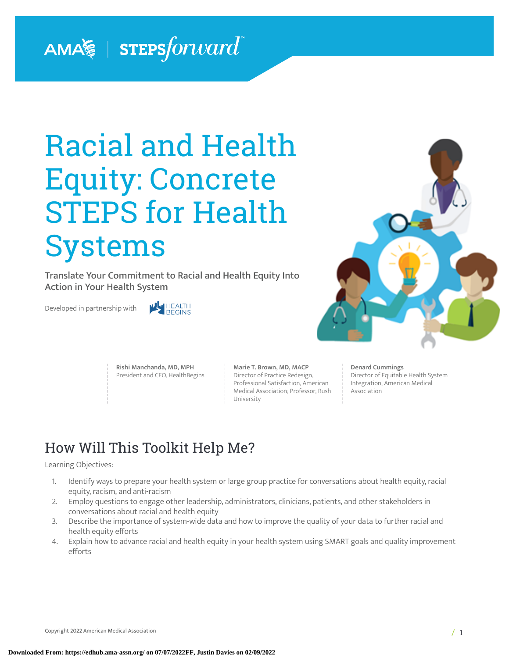# AMA  $\geqslant$  | STEPS forward

# Racial and Health Equity: Concrete STEPS for Health Systems

Translate Your Commitment to Racial and Health Equity Into Action in Your Health System

Developed in partnership with





**Rishi Manchanda, MD, MPH** President and CEO, HealthBegins **Marie T. Brown, MD, MACP** Director of Practice Redesign, Professional Satisfaction, American Medical Association; Professor, Rush University

#### **Denard Cummings**

Director of Equitable Health System Integration, American Medical Association

# How Will This Toolkit Help Me?

#### Learning Objectives:

- 1. Identify ways to prepare your health system or large group practice for conversations about health equity, racial equity, racism, and anti-racism
- 2. Employ questions to engage other leadership, administrators, clinicians, patients, and other stakeholders in conversations about racial and health equity
- 3. Describe the importance of system-wide data and how to improve the quality of your data to further racial and health equity efforts
- 4. Explain how to advance racial and health equity in your health system using SMART goals and quality improvement efforts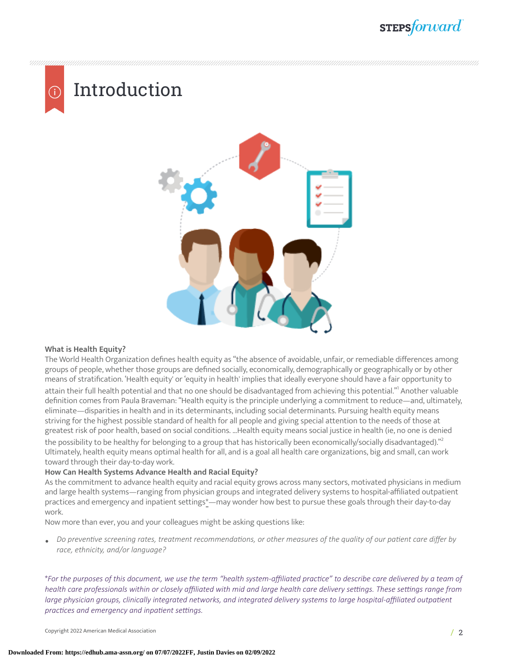# Introduction



#### **What is Health Equity?**

The World Health Organization defines health equity as "the absence of avoidable, unfair, or remediable differences among groups of people, whether those groups are defined socially, economically, demographically or geographically or by other means of stratification. 'Health equity' or 'equity in health' implies that ideally everyone should have a fair opportunity to attain their full health potential and that no one should be disadvantaged from achieving this potential."<sup>I</sup> Another valuable definition comes from Paula Braveman: "Health equity is the principle underlying a commitment to reduce—and, ultimately, eliminate—disparities in health and in its determinants, including social determinants. Pursuing health equity means striving for the highest possible standard of health for all people and giving special attention to the needs of those at greatest risk of poor health, based on social conditions. …Health equity means social justice in health (ie, no one is denied the possibility to be healthy for belonging to a group that has historically been economically/socially disadvantaged)." $^{\rm 2}$  $^{\rm 2}$  $^{\rm 2}$ Ultimately, health equity means optimal health for all, and is a goal all health care organizations, big and small, can work toward through their day-to-day work.

#### **How Can Health Systems Advance Health and Racial Equity?**

As the commitment to advance health equity and racial equity grows across many sectors, motivated physicians in medium and large health systems—ranging from physician groups and integrated delivery systems to hospital-affiliated outpatient practices and emergency and inpatient settings\*—may wonder how best to pursue these goals through their day-to-day work.

Now more than ever, you and your colleagues might be asking questions like:

• Do preventive screening rates, treatment recommendations, or other measures of the quality of our patient care differ by *race, ethnicity, and/or language?*

\*For the purposes of this document, we use the term "health system-affiliated practice" to describe care delivered by a team of health care professionals within or closely affiliated with mid and large health care delivery settings. These settings range from *large physician groups, clinically integrated networks, and <i>integrated delivery systems* to *large hospital-affiliated outpatient practices* and *emergency* and *inpatient* settings.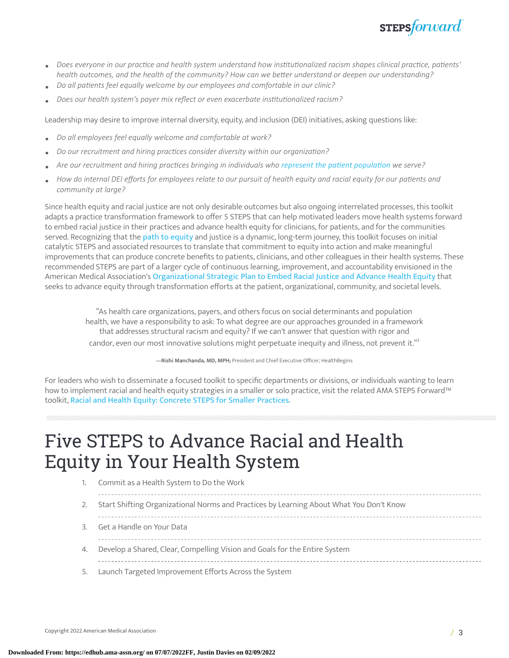

- Does everyone in our practice and health system understand how institutionalized racism shapes clinical practice, patients' *health outcomes, and the health of the community? How can we beer understand or deepen our understanding?*
- *Do all paents feel equally welcome by our employees and comfortable in our clinic?*
- *Does our health system's payer mix reflect or even exacerbate instuonalized racism?*

Leadership may desire to improve internal diversity, equity, and inclusion (DEI) initiatives, asking questions like:

- *Do all employees feel equally welcome and comfortable at work?*
- *Do our recruitment and hiring pracces consider diversity within our organizaon?*
- *Are our recruitment and hiring practices bringing in individuals* who *represent the patient population* we *serve?*
- How do internal DEI efforts for employees relate to our pursuit of health equity and racial equity for our patients and *community at large?*

Since health equity and racial justice are not only desirable outcomes but also ongoing interrelated processes, this toolkit adapts a practice transformation framework to offer 5 STEPS that can help motivated leaders move health systems forward to embed racial justice in their practices and advance health equity for clinicians, for patients, and for the communities served. Recognizing that the **path to [equity](https://jamanetwork.com/journals/jama/fullarticle/182232) and justice is a dynamic**, long-term journey, this toolkit focuses on initial catalytic STEPS and associated resources to translate that commitment to equity into action and make meaningful improvements that can produce concrete benefits to patients, clinicians, and other colleagues in their health systems. These recommended STEPS are part of a larger cycle of continuous learning, improvement, and accountability envisioned in the American Medical Association's [Organizational](https://www.ama-assn.org/about/leadership/ama-s-strategic-plan-embed-racial-justice-and-advance-health-equity) Strategic Plan to Embed Racial Justice and Advance Health Equity that seeks to advance equity through transformation efforts at the patient, organizational, community, and societal levels.

"As health care organizations, payers, and others focus on social determinants and population health, we have a responsibility to ask: To what degree are our approaches grounded in a framework that addresses structural racism and equity? If we can't answer that question with rigor and candor, even our most innovative solutions might perpetuate inequity and illness, not prevent it." $^{\text{3}}$  $^{\text{3}}$  $^{\text{3}}$ 

**—Rishi Manchanda, MD, MPH;** President and Chief Executive Officer, HealthBegins

For leaders who wish to disseminate a focused toolkit to specific departments or divisions, or individuals wanting to learn how to implement racial and health equity strategies in a smaller or solo practice, visit the related AMA STEPS Forward™ toolkit, Racial and Health Equity: [Concrete](https://edhub.ama-assn.org/steps-forward/module/2782426) STEPS for Smaller Practices.

# Five STEPS to Advance Racial and Health Equity in Your Health System

- 1. Commit as a Health System to Do the Work
	-
- 2. Start Shifting Organizational Norms and Practices by Learning About What You Don't Know

- 3. Get a Handle on Your Data
- 4. Develop a Shared, Clear, Compelling Vision and Goals for the Entire System
- 5. Launch Targeted Improvement Efforts Across the System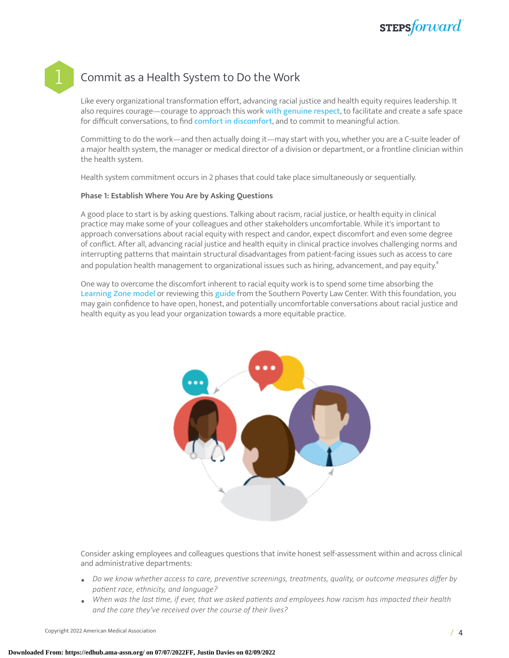## Commit as a Health System to Do the Work

Like every organizational transformation effort, advancing racial justice and health equity requires leadership. It also requires courage—courage to approach this work with [genuine](https://www.netimpact.org/blog/talking-about-race) respect, to facilitate and create a safe space for difficult conversations, to find comfort in [discomfort](https://www.tolerance.org/sites/default/files/general/TT%20Difficult%20Conversations%20web.pdf), and to commit to meaningful action.

Committing to do the work—and then actually doing it—may start with you, whether you are a C-suite leader of a major health system, the manager or medical director of a division or department, or a frontline clinician within the health system.

Health system commitment occurs in 2 phases that could take place simultaneously or sequentially.

#### **Phase 1: Establish Where You Are by Asking Questions**

A good place to start is by asking questions. Talking about racism, racial justice, or health equity in clinical practice may make some of your colleagues and other stakeholders uncomfortable. While it's important to approach conversations about racial equity with respect and candor, expect discomfort and even some degree of conflict. After all, advancing racial justice and health equity in clinical practice involves challenging norms and interrupting patterns that maintain structural disadvantages from patient-facing issues such as access to care and population health management to organizational issues such as hiring, advancement, and pay equity. $^4$  $^4$ 

One way to overcome the discomfort inherent to racial equity work is to spend some time absorbing the [Learning](http://www.thempra.org.uk/social-pedagogy/key-concepts-in-social-pedagogy/the-learning-zone-model/) Zone model or reviewing this [guide](https://www.tolerance.org/sites/default/files/general/TT%20Difficult%20Conversations%20web.pdf) from the Southern Poverty Law Center. With this foundation, you may gain confidence to have open, honest, and potentially uncomfortable conversations about racial justice and health equity as you lead your organization towards a more equitable practice.



Consider asking employees and colleagues questions that invite honest self-assessment within and across clinical and administrative departments:

- *Do we know whether access to care, prevenve screenings, treatments, quality, or outcome measures differ by*  $p$ atient race, ethnicity, and language?
- When was the last time, if ever, that we asked patients and employees how racism has impacted their health *and the care they've received over the course of their lives?*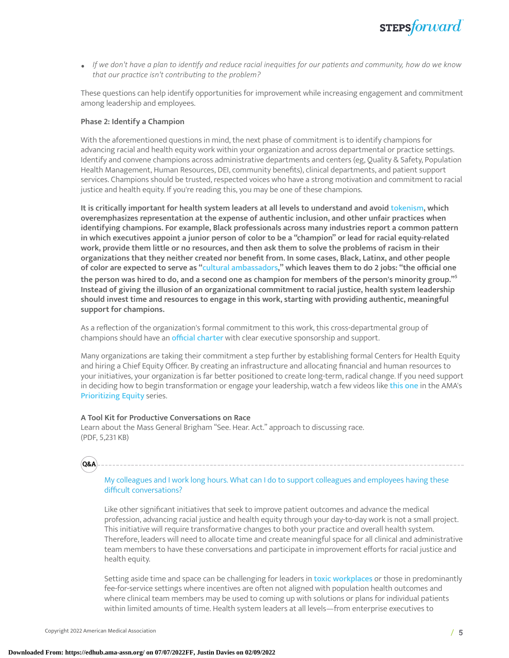

 $\bullet$  If we don't have a plan to identify and reduce racial inequities for our patients and community, how do we know *that our pracce isn't contribung to the problem?*

These questions can help identify opportunities for improvement while increasing engagement and commitment among leadership and employees.

#### **Phase 2: Identify a Champion**

With the aforementioned questions in mind, the next phase of commitment is to identify champions for advancing racial and health equity work within your organization and across departmental or practice settings. Identify and convene champions across administrative departments and centers (eg, Quality & Safety, Population Health Management, Human Resources, DEI, community benefits), clinical departments, and patient support services. Champions should be trusted, respected voices who have a strong motivation and commitment to racial justice and health equity. If you're reading this, you may be one of these champions.

**It is critically important for health system leaders at all levels to understand and avoid** [tokenism](https://www.lexico.com/en/definition/tokenism)**, which overemphasizes representation at the expense of authentic inclusion, and other unfair practices when identifying champions. For example, Black professionals across many industries report a common pattern** in which executives appoint a junior person of color to be a "champion" or lead for racial equity-related work, provide them little or no resources, and then ask them to solve the problems of racism in their **organizations that they neither created nor benefit from. In some cases, Black, Latinx, and other people** of color are expected to serve as "cultural [ambassadors](https://hbr.org/2019/11/toward-a-racially-just-workplace)," which leaves them to do 2 jobs: "the official one the person was hired to do, and a second one as champion for members of the person's minority group." $\mathfrak{S}$ **Instead of giving the illusion of an organizational commitment to racial justice, health system leadership should invest time and resources to engage in this work, starting with providing authentic, meaningful support for champions.**

As a reflection of the organization's formal commitment to this work, this cross-departmental group of champions should have an official [charter](https://www.ahrq.gov/sites/default/files/wysiwyg/professionals/systems/hospital/qitoolkit/d2-projectcharter.pdf) with clear executive sponsorship and support.

Many organizations are taking their commitment a step further by establishing formal Centers for Health Equity and hiring a Chief Equity Officer. By creating an infrastructure and allocating financial and human resources to your initiatives, your organization is far better positioned to create long-term, radical change. If you need support in deciding how to begin transformation or engage your leadership, watch a few videos like [this one](https://www.ama-assn.org/delivering-care/health-equity/prioritizing-equity-video-series-root-cause-considerations-health) in the AMA's [Prioritizing](https://www.ama-assn.org/delivering-care/health-equity/prioritizing-equity-video-series) Equity series.

#### **A Tool Kit for Productive Conversations on Race**

Learn about the Mass General Brigham "See. Hear. Act." approach to discussing race. (PDF, 5,231 KB)



#### My colleagues and I work long hours. What can I do to support colleagues and employees having these difficult conversations?

Like other significant initiatives that seek to improve patient outcomes and advance the medical profession, advancing racial justice and health equity through your day-to-day work is not a small project. This initiative will require transformative changes to both your practice and overall health system. Therefore, leaders will need to allocate time and create meaningful space for all clinical and administrative team members to have these conversations and participate in improvement efforts for racial justice and health equity.

Setting aside time and space can be challenging for leaders in toxic [workplaces](https://www.nursingcenter.com/ce_articleprint?an=00005217-201607000-00009) or those in predominantly fee-for-service settings where incentives are often not aligned with population health outcomes and where clinical team members may be used to coming up with solutions or plans for individual patients within limited amounts of time. Health system leaders at all levels—from enterprise executives to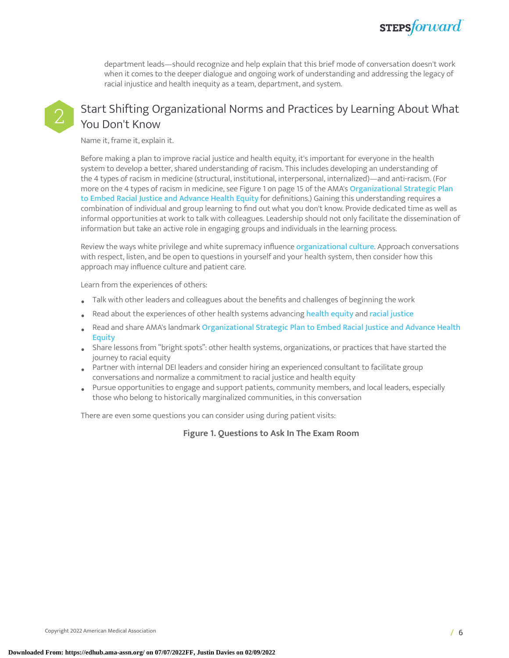

department leads—should recognize and help explain that this brief mode of conversation doesn't work when it comes to the deeper dialogue and ongoing work of understanding and addressing the legacy of racial injustice and health inequity as a team, department, and system.



### Start Shifting Organizational Norms and Practices by Learning About What You Don't Know

Name it, frame it, explain it.

Before making a plan to improve racial justice and health equity, it's important for everyone in the health system to develop a better, shared understanding of racism. This includes developing an understanding of the 4 types of racism in medicine (structural, institutional, interpersonal, internalized)—and anti-racism. (For more on the 4 types of racism in medicine, see [Figure](#page-5-0) 1 on page 15 of the AMA's [Organizational](https://www.ama-assn.org/system/files/2021-05/ama-equity-strategic-plan.pdf) Strategic Plan to Embed Racial Justice and [Advance](https://www.ama-assn.org/system/files/2021-05/ama-equity-strategic-plan.pdf) Health Equity for definitions.) Gaining this understanding requires a combination of individual and group learning to find out what you don't know. Provide dedicated time as well as informal opportunities at work to talk with colleagues. Leadership should not only facilitate the dissemination of information but take an active role in engaging groups and individuals in the learning process.

Review the ways white privilege and white supremacy influence [organizational](http://www.cwsworkshop.org/PARC_site_B/dr-culture.html) culture. Approach conversations with respect, listen, and be open to questions in yourself and your health system, then consider how this approach may influence culture and patient care.

Learn from the experiences of others:

- Talk with other leaders and colleagues about the benefits and challenges of beginning the work
- Read about the experiences of other health systems advancing [health](https://www.mountsinai.org/about/mshs-task-force/road-map) equity and racial [justice](https://d279m997dpfwgl.cloudfront.net/wp/2020/10/hospital-racism-plan.pdf)
- Read and share AMA's landmark [Organizational](https://www.ama-assn.org/about/leadership/ama-s-strategic-plan-embed-racial-justice-and-advance-health-equity) Strategic Plan to Embed Racial Justice and Advance Health **[Equity](https://www.ama-assn.org/about/leadership/ama-s-strategic-plan-embed-racial-justice-and-advance-health-equity)**
- Share lessons from "bright spots": other health systems, organizations, or practices that have started the journey to racial equity
- Partner with internal DEI leaders and consider hiring an experienced consultant to facilitate group conversations and normalize a commitment to racial justice and health equity
- Pursue opportunities to engage and support patients, community members, and local leaders, especially those who belong to historically marginalized communities, in this conversation

<span id="page-5-0"></span>There are even some questions you can consider using during patient visits:

#### **Figure 1. Questions to Ask In The Exam Room**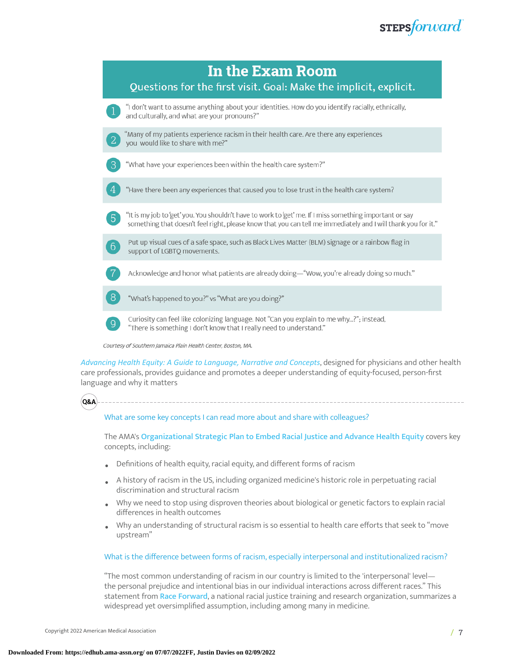**STEPS**forward



[Advancing](https://www.ama-assn.org/system/files/ama-aamc-equity-guide.pdf) Health *Equity: A Guide to Language, Narrative and Concepts*, designed for physicians and other health care professionals, provides guidance and promotes a deeper understanding of equity-focused, person-first language and why it matters



What are some key concepts I can read more about and share with colleagues?

The AMA's [Organizational](https://www.ama-assn.org/about/leadership/ama-s-strategic-plan-embed-racial-justice-and-advance-health-equity) Strategic Plan to Embed Racial Justice and Advance Health Equity covers key concepts, including:

- Definitions of health equity, racial equity, and different forms of racism
- A history of racism in the US, including organized medicine's historic role in perpetuating racial discrimination and structural racism
- Why we need to stop using disproven theories about biological or genetic factors to explain racial differences in health outcomes
- Why an understanding of structural racism is so essential to health care efforts that seek to "move upstream"

#### What is the difference between forms of racism, especially interpersonal and institutionalized racism?

"The most common understanding of racism in our country is limited to the 'interpersonal' level the personal prejudice and intentional bias in our individual interactions across different races." This statement from Race [Forward](https://www.raceforward.org/about), a national racial justice training and research organization, summarizes a widespread yet oversimplified assumption, including among many in medicine.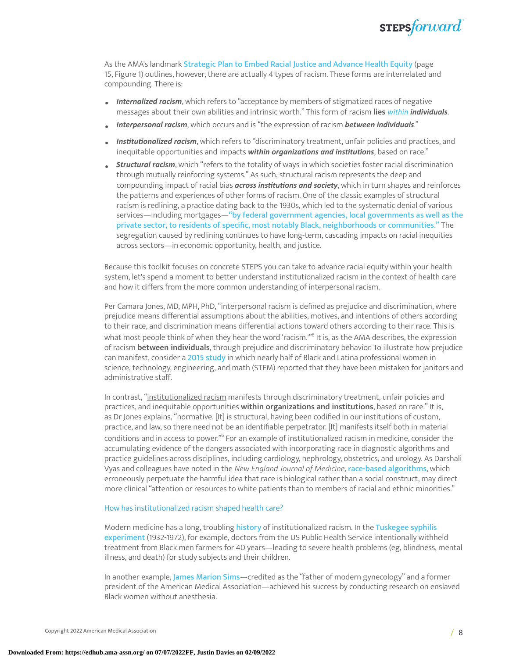

As the AMA's landmark [Strategic](https://www.ama-assn.org/about/leadership/ama-s-strategic-plan-embed-racial-justice-and-advance-health-equity) Plan to Embed Racial Justice and Advance Health Equity (page 15, [Figure](#page-5-0) 1) outlines, however, there are actually 4 types of racism. These forms are interrelated and compounding. There is:

- *Internalized racism*, which refers to "acceptance by members of stigmatized races of negative messages about their own abilities and intrinsic worth." This form of racism **lies** *[within](https://www.cacgrants.org/assets/ce/Documents/2019/FourLevelsOfRacism.pdf) individuals*.
- *Interpersonal racism*, which occurs and is "the expression of racism *between individuals*."
- *Institutionalized racism*, which refers to "discriminatory treatment, unfair policies and practices, and inequitable opportunities and impacts *within organizations and institutions*, based on race."
- *Structural racism*, which "refers to the totality of ways in which societies foster racial discrimination through mutually reinforcing systems." As such, structural racism represents the deep and compounding impact of racial bias *across institutions and society*, which in turn shapes and reinforces the patterns and experiences of other forms of racism. One of the classic examples of structural racism is redlining, a practice dating back to the 1930s, which led to the systematic denial of various services—including mortgages—"by federal government agencies, local [governments](https://www.npr.org/2017/05/03/526655831/a-forgotten-history-of-how-the-u-s-government-segregated-america) as well as the private sector, to residents of specific, most notably Black, [neighborhoods](https://www.npr.org/2017/05/03/526655831/a-forgotten-history-of-how-the-u-s-government-segregated-america) or communities." The segregation caused by redlining continues to have long-term, cascading impacts on racial inequities across sectors—in economic opportunity, health, and justice.

Because this toolkit focuses on concrete STEPS you can take to advance racial equity within your health system, let's spend a moment to better understand institutionalized racism in the context of health care and how it differs from the more common understanding of interpersonal racism.

Per Camara Jones, MD, MPH, PhD, "interpersonal racism is defined as prejudice and discrimination, where prejudice means differential assumptions about the abilities, motives, and intentions of others according to their race, and discrimination means differential actions toward others according to their race. This is what most people think of when they hear the word 'racism.'" [6](#page-18-4) It is, as the AMA describes, the expression of racism **between individuals**, through prejudice and discriminatory behavior. To illustrate how prejudice can manifest, consider a [2015 study](https://thesocietypages.org/socimages/2015/07/02/nearly-half-of-black-and-latina-stem-workers-mistaken-for-janitors-and-assistants/) in which nearly half of Black and Latina professional women in science, technology, engineering, and math (STEM) reported that they have been mistaken for janitors and administrative staff.

In contrast, "institutionalized racism manifests through discriminatory treatment, unfair policies and practices, and inequitable opportunities **within organizations and institutions**, based on race." It is, as Dr Jones explains, "normative. [It] is structural, having been codified in our institutions of custom, practice, and law, so there need not be an identifiable perpetrator. [It] manifests itself both in material conditions and in access to power." $\degree$  For an example of institutionalized racism in medicine, consider the accumulating evidence of the dangers associated with incorporating race in diagnostic algorithms and practice guidelines across disciplines, including cardiology, nephrology, obstetrics, and urology. As Darshali Vyas and colleagues have noted in the *New England Journal of Medicine*, [race-based](https://www.nejm.org/doi/full/10.1056/NEJMms2004740) algorithms, which erroneously perpetuate the harmful idea that race is biological rather than a social construct, may direct more clinical "attention or resources to white patients than to members of racial and ethnic minorities."

#### How has institutionalized racism shaped health care?

Modern medicine has a long, troubling [history](https://jamanetwork.com/journals/jama/fullarticle/182255) of institutionalized racism. In the [Tuskegee](https://www.history.com/news/the-infamous-40-year-tuskegee-study) syphilis [experiment](https://www.history.com/news/the-infamous-40-year-tuskegee-study) (1932-1972), for example, doctors from the US Public Health Service intentionally withheld treatment from Black men farmers for 40 years—leading to severe health problems (eg, blindness, mental illness, and death) for study subjects and their children.

In another example, James [Marion](https://www.history.com/news/the-father-of-modern-gynecology-performed-shocking-experiments-on-slaves) Sims—credited as the "father of modern gynecology" and a former president of the American Medical Association—achieved his success by conducting research on enslaved Black women without anesthesia.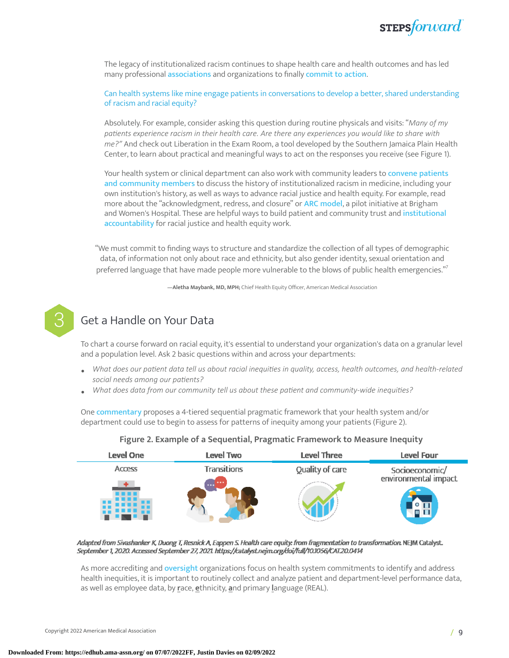

The legacy of institutionalized racism continues to shape health care and health outcomes and has led many professional [associations](https://www.ama-assn.org/delivering-care/health-equity/ama-racism-threat-public-health) and organizations to finally [commit](https://journalofethics.ama-assn.org/article/living-histories-structural-racism-and-organized-medicine/2021-12) to action.

Can health systems like mine engage patients in conversations to develop a better, shared understanding of racism and racial equity?

Absolutely. For example, consider asking this question during routine physicals and visits: "*Many of my paents experience racism in their health care. Are there any experiences you would like to share with me?"* And check out Liberation in the Exam Room, a tool developed by the Southern Jamaica Plain Health Center, to learn about practical and meaningful ways to act on the responses you receive (see [Figure](#page-5-0) 1).

Your health system or clinical department can also work with community leaders to [convene](http://www.racialrec.org/about/) patients and [community](http://www.racialrec.org/about/) members to discuss the history of institutionalized racism in medicine, including your own institution's history, as well as ways to advance racial justice and health equity. For example, read more about the "acknowledgment, redress, and closure" or [ARC model](http://bostonreview.net/science-nature-race/bram-wispelwey-michelle-morse-antiracist-agenda-medicine), a pilot initiative at Brigham and Women's Hospital. These are helpful ways to build patient and community trust and [institutional](https://healthbegins.org/health-equity-and-institutional-accountability-setting-a-new-standard-for-health-care/) [accountability](https://healthbegins.org/health-equity-and-institutional-accountability-setting-a-new-standard-for-health-care/) for racial justice and health equity work.

"We must commit to finding ways to structure and standardize the collection of all types of demographic data, of information not only about race and ethnicity, but also gender identity, sexual orientation and preferred language that have made people more vulnerable to the blows of public health emergencies." [7](#page-18-5)

**—Aletha Maybank, MD, MPH;** Chief Health Equity Officer, American Medical Association



### Get a Handle on Your Data

To chart a course forward on racial equity, it's essential to understand your organization's data on a granular level and a population level. Ask 2 basic questions within and across your departments:

- What does our patient data tell us about racial inequities in quality, access, health outcomes, and health-related  $social needs among our patients?$
- $\bullet$  *What does data from our community tell us about these patient and community-wide inequities?*

One [commentary](https://catalyst.nejm.org/doi/full/10.1056/CAT.20.0414) proposes a 4-tiered sequential pragmatic framework that your health system and/or department could use to begin to assess for patterns of inequity among your patients ([Figure](#page-8-0) 2).

<span id="page-8-0"></span>

#### **Figure 2. Example of a Sequential, Pragmatic Framework to Measure Inequity**

Adapted from Sivashanker K, Duong T, Resnick A, Eappen S. Health care equity: from fragmentation to transformation. NEJM Catalyst. September 1, 2020. Accessed September 27, 2021. https://catalyst.nejm.org/doi/full/10.1056/CAT.20.0414

As more accrediting and [oversight](https://www.prnewswire.com/news-releases/the-leapfrog-group-announces-changes-for-2021-leapfrog-surveys-of-hospitals-and-surgery-centers-301244840.html) organizations focus on health system commitments to identify and address health inequities, it is important to routinely collect and analyze patient and department-level performance data, as well as employee data, by **r**ace, **e**thnicity, **a**nd primary **l**anguage (REAL).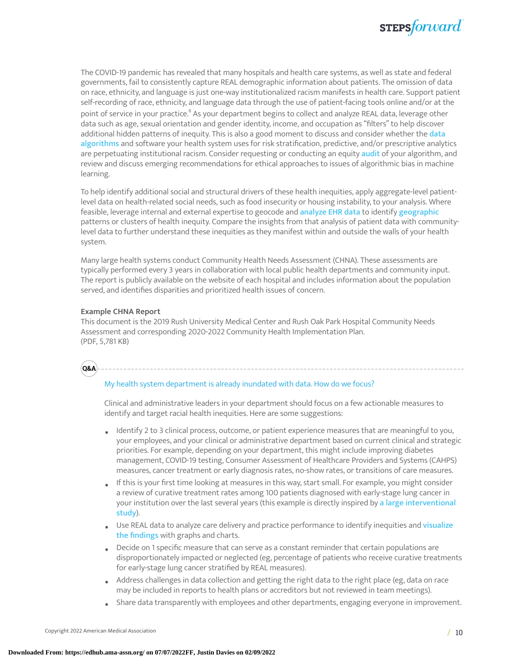

The COVID-19 pandemic has revealed that many hospitals and health care systems, as well as state and federal governments, fail to consistently capture REAL demographic information about patients. The omission of data on race, ethnicity, and language is just one-way institutionalized racism manifests in health care. Support patient self-recording of race, ethnicity, and language data through the use of patient-facing tools online and/or at the point of service in your practice. $^{\text{s}}$  As your department begins to collect and analyze REAL data, leverage other data such as age, sexual orientation and gender identity, income, and occupation as "filters" to help discover additional hidden patterns of inequity. This is also a good moment to discuss and consider whether the [data](https://www.ncbi.nlm.nih.gov/pmc/articles/PMC7810137/) [algorithms](https://www.ncbi.nlm.nih.gov/pmc/articles/PMC7810137/) and software your health system uses for risk stratification, predictive, and/or prescriptive analytics are perpetuating institutional racism. Consider requesting or conducting an equity [audit](https://www.ajl.org/take-action#REQUEST) of your algorithm, and review and discuss emerging recommendations for ethical approaches to issues of algorithmic bias in machine learning.

To help identify additional social and structural drivers of these health inequities, apply aggregate-level patientlevel data on health-related social needs, such as food insecurity or housing instability, to your analysis. Where feasible, leverage internal and external expertise to geocode and [analyze](https://www.cdc.gov/pcd/issues/2019/19_0186.htm) EHR data to identify [geographic](https://www.ncbi.nlm.nih.gov/pmc/articles/PMC6743030/) patterns or clusters of health inequity. Compare the insights from that analysis of patient data with communitylevel data to further understand these inequities as they manifest within and outside the walls of your health system.

Many large health systems conduct Community Health Needs Assessment (CHNA). These assessments are typically performed every 3 years in collaboration with local public health departments and community input. The report is publicly available on the website of each hospital and includes information about the population served, and identifies disparities and prioritized health issues of concern.

#### **Example CHNA Report**

This document is the 2019 Rush University Medical Center and Rush Oak Park Hospital Community Needs Assessment and corresponding 2020-2022 Community Health Implementation Plan. (PDF, 5,781 KB)

**Q&A**

#### My health system department is already inundated with data. How do we focus?

Clinical and administrative leaders in your department should focus on a few actionable measures to identify and target racial health inequities. Here are some suggestions:

- Identify 2 to 3 clinical process, outcome, or patient experience measures that are meaningful to you, your employees, and your clinical or administrative department based on current clinical and strategic priorities. For example, depending on your department, this might include improving diabetes management, COVID-19 testing, Consumer Assessment of Healthcare Providers and Systems (CAHPS) measures, cancer treatment or early diagnosis rates, no-show rates, or transitions of care measures.
- If this is your first time looking at measures in this way, start small. For example, you might consider a review of curative treatment rates among 100 patients diagnosed with early-stage lung cancer in your institution over the last several years (this example is directly inspired by a large [interventional](https://www.ncbi.nlm.nih.gov/pmc/articles/PMC6434214/) [study](https://www.ncbi.nlm.nih.gov/pmc/articles/PMC6434214/)).
- Use REAL data to analyze care delivery and practice performance to identify inequities and [visualize](https://hbr.org/2020/07/a-data-driven-approach-to-addressing-racial-disparities-in-health-care-outcomes) the [findings](https://hbr.org/2020/07/a-data-driven-approach-to-addressing-racial-disparities-in-health-care-outcomes) with graphs and charts.
- Decide on 1 specific measure that can serve as a constant reminder that certain populations are disproportionately impacted or neglected (eg, percentage of patients who receive curative treatments for early-stage lung cancer stratified by REAL measures).
- Address challenges in data collection and getting the right data to the right place (eg, data on race may be included in reports to health plans or accreditors but not reviewed in team meetings).
- Share data transparently with employees and other departments, engaging everyone in improvement.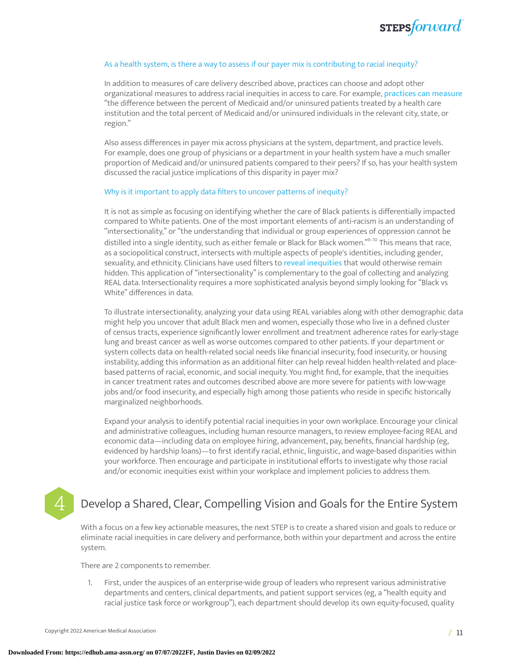

#### As a health system, is there a way to assess if our payer mix is contributing to racial inequity?

In addition to measures of care delivery described above, practices can choose and adopt other organizational measures to address racial inequities in access to care. For example, [practices](https://catalyst.nejm.org/doi/full/10.1056/CAT.20.0414) can measure "the difference between the percent of Medicaid and/or uninsured patients treated by a health care institution and the total percent of Medicaid and/or uninsured individuals in the relevant city, state, or region."

Also assess differences in payer mix across physicians at the system, department, and practice levels. For example, does one group of physicians or a department in your health system have a much smaller proportion of Medicaid and/or uninsured patients compared to their peers? If so, has your health system discussed the racial justice implications of this disparity in payer mix?

#### Why is it important to apply data filters to uncover patterns of inequity?

It is not as simple as focusing on identifying whether the care of Black patients is differentially impacted compared to White patients. One of the most important elements of anti-racism is an understanding of "intersectionality," or "the understanding that individual or group experiences of oppression cannot be distilled into a single identity, such as either female or Black for Black women." [9–](#page-18-7)[10](#page-19-0) This means that race, as a sociopolitical construct, intersects with multiple aspects of people's identities, including gender, sexuality, and ethnicity. Clinicians have used filters to reveal [inequities](https://hbr.org/2020/07/a-data-driven-approach-to-addressing-racial-disparities-in-health-care-outcomes) that would otherwise remain hidden. This application of "intersectionality" is complementary to the goal of collecting and analyzing REAL data. Intersectionality requires a more sophisticated analysis beyond simply looking for "Black vs White" differences in data.

To illustrate intersectionality, analyzing your data using REAL variables along with other demographic data might help you uncover that adult Black men and women, especially those who live in a defined cluster of census tracts, experience significantly lower enrollment and treatment adherence rates for early-stage lung and breast cancer as well as worse outcomes compared to other patients. If your department or system collects data on health-related social needs like financial insecurity, food insecurity, or housing instability, adding this information as an additional filter can help reveal hidden health-related and placebased patterns of racial, economic, and social inequity. You might find, for example, that the inequities in cancer treatment rates and outcomes described above are more severe for patients with low-wage jobs and/or food insecurity, and especially high among those patients who reside in specific historically marginalized neighborhoods.

Expand your analysis to identify potential racial inequities in your own workplace. Encourage your clinical and administrative colleagues, including human resource managers, to review employee-facing REAL and economic data—including data on employee hiring, advancement, pay, benefits, financial hardship (eg, evidenced by hardship loans)—to first identify racial, ethnic, linguistic, and wage-based disparities within your workforce. Then encourage and participate in institutional efforts to investigate why those racial and/or economic inequities exist within your workplace and implement policies to address them.

### Develop a Shared, Clear, Compelling Vision and Goals for the Entire System

With a focus on a few key actionable measures, the next STEP is to create a shared vision and goals to reduce or eliminate racial inequities in care delivery and performance, both within your department and across the entire system.

There are 2 components to remember.

1. First, under the auspices of an enterprise-wide group of leaders who represent various administrative departments and centers, clinical departments, and patient support services (eg, a "health equity and racial justice task force or workgroup"), each department should develop its own equity-focused, quality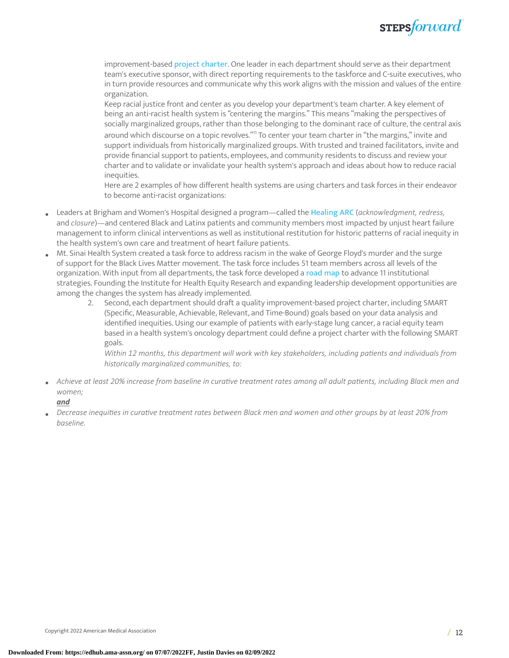

improvement-based project [charter](https://www.ahrq.gov/sites/default/files/wysiwyg/professionals/systems/hospital/qitoolkit/d2-projectcharter.pdf). One leader in each department should serve as their department team's executive sponsor, with direct reporting requirements to the taskforce and C-suite executives, who in turn provide resources and communicate why this work aligns with the mission and values of the entire organization.

Keep racial justice front and center as you develop your department's team charter. A key element of being an anti-racist health system is "centering the margins." This means "making the perspectives of socially marginalized groups, rather than those belonging to the dominant race of culture, the central axis around which discourse on a topic revolves."<sup>[11](#page-19-1)</sup> To center your team charter in "the margins," invite and support individuals from historically marginalized groups. With trusted and trained facilitators, invite and provide financial support to patients, employees, and community residents to discuss and review your charter and to validate or invalidate your health system's approach and ideas about how to reduce racial inequities.

Here are 2 examples of how different health systems are using charters and task forces in their endeavor to become anti-racist organizations:

- Leaders at Brigham and Women's Hospital designed a program—called the [Healing](http://bostonreview.net/science-nature-race/bram-wispelwey-michelle-morse-antiracist-agenda-medicine) ARC (*acknowledgment, redress,* and *closure*)—and centered Black and Latinx patients and community members most impacted by unjust heart failure management to inform clinical interventions as well as institutional restitution for historic patterns of racial inequity in the health system's own care and treatment of heart failure patients.
- Mt. Sinai Health System created <sup>a</sup> task force to address racism in the wake of George Floyd's murder and the surge of support for the Black Lives Matter movement. The task force includes 51 team members across all levels of the organization. With input from all departments, the task force developed a [road](https://www.mountsinai.org/about/mshs-task-force/road-map) map to advance 11 institutional strategies. Founding the Institute for Health Equity Research and expanding leadership development opportunities are among the changes the system has already implemented.
	- 2. Second, each department should draft a quality improvement-based project charter, including SMART (Specific, Measurable, Achievable, Relevant, and Time-Bound) goals based on your data analysis and identified inequities. Using our example of patients with early-stage lung cancer, a racial equity team based in a health system's oncology department could define a project charter with the following SMART goals.

*Within 12 months, this department will work with key stakeholders, including paents and individuals from historically marginalized communies, to:*

• Achieve at least 20% increase from baseline in curative treatment rates among all adult patients, including Black men and *women;*

#### *and*

Decrease inequities in curative treatment rates between Black men and women and other groups by at least 20% from *baseline.*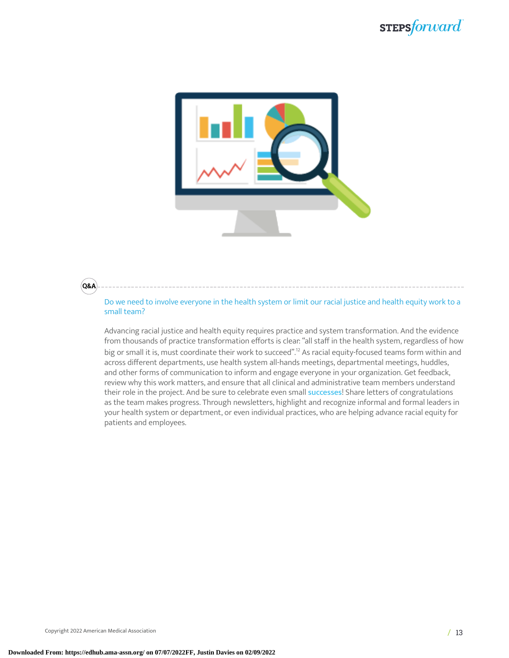

#### **Q&A**

Do we need to involve everyone in the health system or limit our racial justice and health equity work to a small team?

Advancing racial justice and health equity requires practice and system transformation. And the evidence from thousands of practice transformation efforts is clear: "all staff in the health system, regardless of how big or small it is, must coordinate their work to succeed". [12](#page-19-2) As racial equity-focused teams form within and across different departments, use health system all-hands meetings, departmental meetings, huddles, and other forms of communication to inform and engage everyone in your organization. Get feedback, review why this work matters, and ensure that all clinical and administrative team members understand their role in the project. And be sure to celebrate even small [successes](https://cdn.edhub.ama-assn.org/ama/content_public/journal/steps-forward/937327/10.1001stepsforward.2017.0001supp11_1613491045.81676.docx?Expires=1635799983&Signature=nlDj3zRMeB2jfv24mAOQT-VIk41QJ8DxmIrHQZAutPnl2zkKHj8Mhtf8AbRIcuTtq2NHUn6BOiZC9MzdXX8tqQXXVmI6iK9pzZ0709pCSmzuTowc87y9v3Da1ABKwSMILnnIh7B0RagZhXi-I1D~S1vJfDCGfcfKuhe3K9jyB1AtxgLSDUM-Q5u-~PHHW5ccSrLEp6HsHTtILlEeHyiz~zTWQCRArNy7q5jNhq7kfO4mXdzQn7-J~L4GS~x52B3Gl5f5ETo9HDb7dLjX2PCmbprdrzMLFrKUK7eh9lbqdsCAT7G8xA1mD5EEJYrICw1jY9fPZbVQCUqC4Ag9ma~kmw__#x0026;Key-Pair-Id=APKAIE5G5CRDK6RD3PGA)! Share letters of congratulations as the team makes progress. Through newsletters, highlight and recognize informal and formal leaders in your health system or department, or even individual practices, who are helping advance racial equity for patients and employees.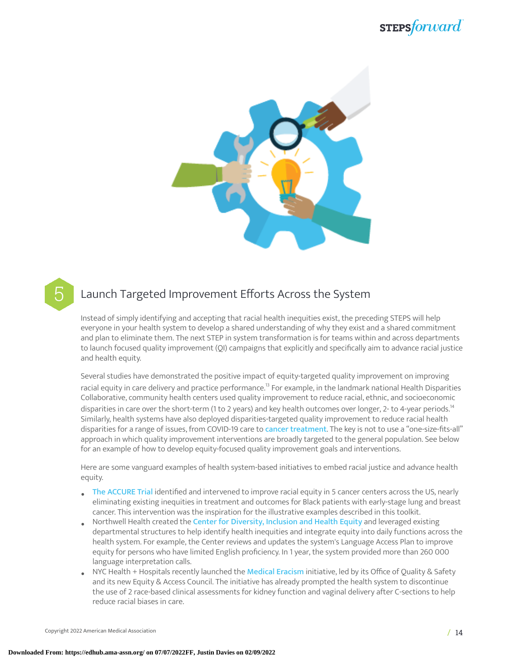



### Launch Targeted Improvement Efforts Across the System

Instead of simply identifying and accepting that racial health inequities exist, the preceding STEPS will help everyone in your health system to develop a shared understanding of why they exist and a shared commitment and plan to eliminate them. The next STEP in system transformation is for teams within and across departments to launch focused quality improvement (QI) campaigns that explicitly and specifically aim to advance racial justice and health equity.

Several studies have demonstrated the positive impact of equity-targeted quality improvement on improving racial equity in care delivery and practice performance.<sup>[13](#page-19-3)</sup> For example, in the landmark national Health Disparities Collaborative, community health centers used quality improvement to reduce racial, ethnic, and socioeconomic disparities in care over the short-term (1 to 2 years) and key health outcomes over longer, 2- to 4-year periods.<sup>[14](#page-19-4)</sup> Similarly, health systems have also deployed disparities-targeted quality improvement to reduce racial health disparities for a range of issues, from COVID-19 care to cancer [treatment](https://www.commonwealthfund.org/publications/newsletter-article/2018/sep/focus-reducing-racial-disparities-health-care-confronting). The key is not to use a "one-size-fits-all" approach in which quality improvement interventions are broadly targeted to the general population. See below for an example of how to develop equity-focused quality improvement goals and interventions.

Here are some vanguard examples of health system-based initiatives to embed racial justice and advance health equity.

- The [ACCURE](https://ascopost.com/News/60073) Trial identified and intervened to improve racial equity in 5 cancer centers across the US, nearly eliminating existing inequities in treatment and outcomes for Black patients with early-stage lung and breast cancer. This intervention was the inspiration for the illustrative examples described in this toolkit.
- Northwell Health created the Center for [Diversity,](https://www.northwell.edu/sites/northwell.edu/files/2018-11/Center-for-Diversity-Inclusion-and-Health-Equity-Report.pdf) Inclusion and Health Equity and leveraged existing departmental structures to help identify health inequities and integrate equity into daily functions across the health system. For example, the Center reviews and updates the system's Language Access Plan to improve equity for persons who have limited English proficiency. In 1 year, the system provided more than 260 000 language interpretation calls.
- NYC Health + Hospitals recently launched the [Medical](https://medcitynews.com/2021/05/nyc-health-hospitals-drops-use-of-two-race-based-clinical-assessments/) Eracism initiative, led by its Office of Quality & Safety and its new Equity & Access Council. The initiative has already prompted the health system to discontinue the use of 2 race-based clinical assessments for kidney function and vaginal delivery after C-sections to help reduce racial biases in care.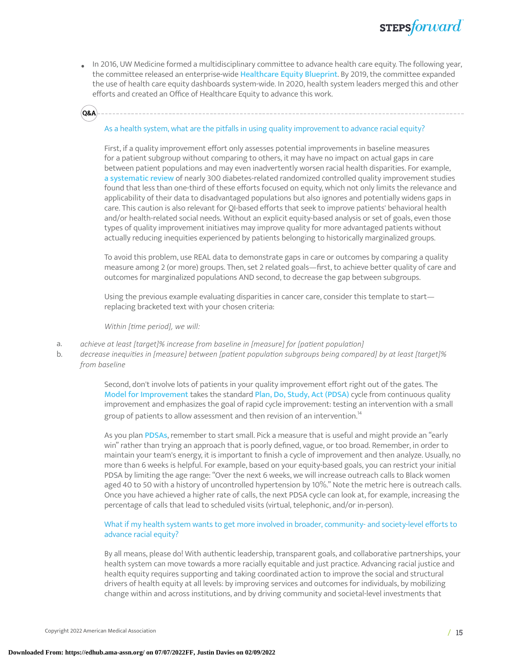• In 2016, UW Medicine formed a multidisciplinary committee to advance health care equity. The following year, the committee released an enterprise-wide [Healthcare](https://depts.washington.edu/uwmedptn/strategies-programs/healthcare-equity/) Equity Blueprint. By 2019, the committee expanded the use of health care equity dashboards system-wide. In 2020, health system leaders merged this and other efforts and created an Office of Healthcare Equity to advance this work.

## **Q&A**

#### As a health system, what are the pitfalls in using quality improvement to advance racial equity?

First, if a quality improvement effort only assesses potential improvements in baseline measures for a patient subgroup without comparing to others, it may have no impact on actual gaps in care between patient populations and may even inadvertently worsen racial health disparities. For example, a [systematic](https://bmjopen.bmj.com/content/8/2/e018826) review of nearly 300 diabetes-related randomized controlled quality improvement studies found that less than one-third of these efforts focused on equity, which not only limits the relevance and applicability of their data to disadvantaged populations but also ignores and potentially widens gaps in care. This caution is also relevant for QI-based efforts that seek to improve patients' behavioral health and/or health-related social needs. Without an explicit equity-based analysis or set of goals, even those types of quality improvement initiatives may improve quality for more advantaged patients without actually reducing inequities experienced by patients belonging to historically marginalized groups.

To avoid this problem, use REAL data to demonstrate gaps in care or outcomes by comparing a quality measure among 2 (or more) groups. Then, set 2 related goals—first, to achieve better quality of care and outcomes for marginalized populations AND second, to decrease the gap between subgroups.

Using the previous example evaluating disparities in cancer care, consider this template to start replacing bracketed text with your chosen criteria:

*Within [time period], we will:* 

- a. *achieve at least [target]% increase from baseline in [measure] for [paent populaon]*
- b. *decrease inequies in [measure] between [paent populaon subgroups being compared] by at least [target]% from baseline*

Second, don't involve lots of patients in your quality improvement effort right out of the gates. The Model for [Improvement](http://www.ihi.org/education/ihiopenschool/Courses/Documents/QI102-FinalOnePager.pdf) takes the standard Plan, Do, Study, Act [\(PDSA\)](https://edhub.ama-assn.org/steps-forward/module/2702507) cycle from continuous quality improvement and emphasizes the goal of rapid cycle improvement: testing an intervention with a small group of patients to allow assessment and then revision of an intervention. $^{\rm 14}$  $^{\rm 14}$  $^{\rm 14}$ 

As you plan [PDSAs](https://edhub.ama-assn.org/steps-forward/module/2702507?resultClick=1&bypassSolrId=J_2702507), remember to start small. Pick a measure that is useful and might provide an "early win" rather than trying an approach that is poorly defined, vague, or too broad. Remember, in order to maintain your team's energy, it is important to finish a cycle of improvement and then analyze. Usually, no more than 6 weeks is helpful. For example, based on your equity-based goals, you can restrict your initial PDSA by limiting the age range: "Over the next 6 weeks, we will increase outreach calls to Black women aged 40 to 50 with a history of uncontrolled hypertension by 10%." Note the metric here is outreach calls. Once you have achieved a higher rate of calls, the next PDSA cycle can look at, for example, increasing the percentage of calls that lead to scheduled visits (virtual, telephonic, and/or in-person).

#### What if my health system wants to get more involved in broader, community- and society-level efforts to advance racial equity?

By all means, please do! With authentic leadership, transparent goals, and collaborative partnerships, your health system can move towards a more racially equitable and just practice. Advancing racial justice and health equity requires supporting and taking coordinated action to improve the social and structural drivers of health equity at all levels: by improving services and outcomes for individuals, by mobilizing change within and across institutions, and by driving community and societal-level investments that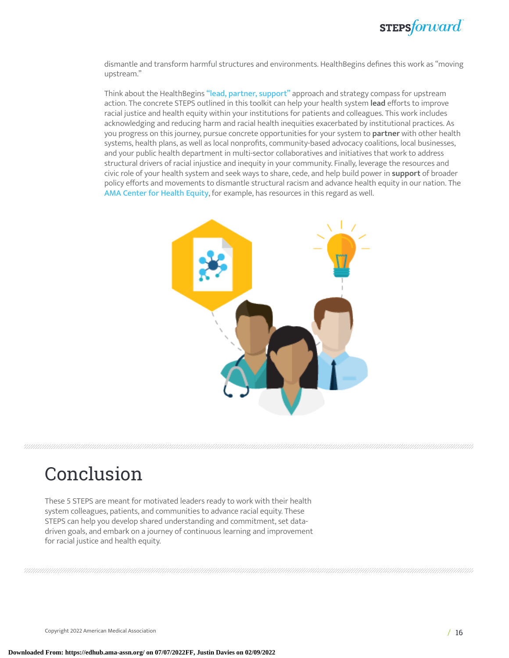

dismantle and transform harmful structures and environments. HealthBegins defines this work as "moving upstream."

Think about the HealthBegins "lead, partner, [support"](https://healthbegins.org/charting-a-course-for-social-determinants-of-health/) approach and strategy compass for upstream action. The concrete STEPS outlined in this toolkit can help your health system **lead** efforts to improve racial justice and health equity within your institutions for patients and colleagues. This work includes acknowledging and reducing harm and racial health inequities exacerbated by institutional practices. As you progress on this journey, pursue concrete opportunities for your system to **partner** with other health systems, health plans, as well as local nonprofits, community-based advocacy coalitions, local businesses, and your public health department in multi-sector collaboratives and initiatives that work to address structural drivers of racial injustice and inequity in your community. Finally, leverage the resources and civic role of your health system and seek ways to share, cede, and help build power in **support** of broader policy efforts and movements to dismantle structural racism and advance health equity in our nation. The AMA [Center](https://www.ama-assn.org/topics/ama-center-health-equity) for Health Equity, for example, has resources in this regard as well.



# Conclusion

These 5 STEPS are meant for motivated leaders ready to work with their health system colleagues, patients, and communities to advance racial equity. These STEPS can help you develop shared understanding and commitment, set datadriven goals, and embark on a journey of continuous learning and improvement for racial justice and health equity.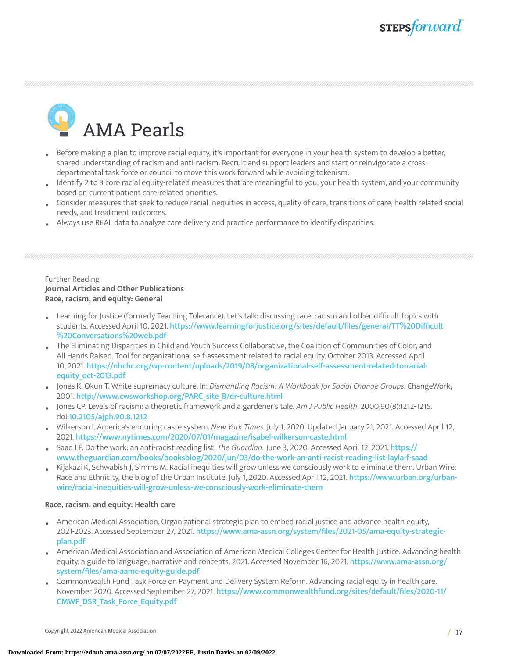AMA Pearls

- Before making a plan to improve racial equity, it's important for everyone in your health system to develop a better, shared understanding of racism and anti-racism. Recruit and support leaders and start or reinvigorate a crossdepartmental task force or council to move this work forward while avoiding tokenism.
- Identify 2 to 3 core racial equity-related measures that are meaningful to you, your health system, and your community based on current patient care-related priorities.
- Consider measures that seek to reduce racial inequities in access, quality of care, transitions of care, health-related social needs, and treatment outcomes.
- Always use REAL data to analyze care delivery and practice performance to identify disparities.

#### Further Reading **Journal Articles and Other Publications Race, racism, and equity: General**

- Learning for Justice (formerly Teaching Tolerance). Let's talk: discussing race, racism and other difficult topics with<br>Although the change of Angil 10, 2021 https://www.hampingfagineties.com/sites/default/files/general/77 students. Accessed April 10, 2021. [https://www.learningforjustice.org/sites/default/files/general/TT%20Difficult](https://www.learningforjustice.org/sites/default/files/general/TT%20Difficult%20Conversations%20web.pdf) [%20Conversations%20web.pdf](https://www.learningforjustice.org/sites/default/files/general/TT%20Difficult%20Conversations%20web.pdf)
- The Eliminating Disparities in Child and Youth Success Collaborative, the Coalition of Communities of Color, and All Hands Raised. Tool for organizational self-assessment related to racial equity. October 2013. Accessed April 10, 2021. [https://nhchc.org/wp-content/uploads/2019/08/organizational-self-assessment-related-to-racial](https://nhchc.org/wp-content/uploads/2019/08/organizational-self-assessment-related-to-racial-equity_oct-2013.pdf)[equity\\_oct-2013.pdf](https://nhchc.org/wp-content/uploads/2019/08/organizational-self-assessment-related-to-racial-equity_oct-2013.pdf)
- Jones K, Okun T. White supremacy culture. In: *Dismantling Racism: A Workbook for Social Change Groups*. ChangeWork; 2001. [http://www.cwsworkshop.org/PARC\\_site\\_B/dr-culture.html](http://www.cwsworkshop.org/PARC_site_B/dr-culture.html)
- Jones CP. Levels of racism: a theoretic framework and a gardener's tale. *Am J Public Health*. 2000;90(8):1212-1215. doi:<10.2105/ajph.90.8.1212>
- Wilkerson I. America's enduring caste system. *New York Times*. July 1, 2020. Updated January 21, 2021. Accessed April 12, 2021. <https://www.nytimes.com/2020/07/01/magazine/isabel-wilkerson-caste.html>
- Saad LF. Do the work: an anti-racist reading list. *The Guardian.* June 3, 2020. Accessed April 12, 2021. [https://](https://www.theguardian.com/books/booksblog/2020/jun/03/do-the-work-an-anti-racist-reading-list-layla-f-saad) [www.theguardian.com/books/booksblog/2020/jun/03/do-the-work-an-anti-racist-reading-list-layla-f-saad](https://www.theguardian.com/books/booksblog/2020/jun/03/do-the-work-an-anti-racist-reading-list-layla-f-saad)
- Kijakazi K, Schwabish J, Simms M. Racial inequities will grow unless we consciously work to eliminate them. Urban Wire: Race and Ethnicity, the blog of the Urban Institute. July 1, 2020. Accessed April 12, 2021. [https://www.urban.org/urban](https://www.urban.org/urban-wire/racial-inequities-will-grow-unless-we-consciously-work-eliminate-them)[wire/racial-inequities-will-grow-unless-we-consciously-work-eliminate-them](https://www.urban.org/urban-wire/racial-inequities-will-grow-unless-we-consciously-work-eliminate-them)

#### **Race, racism, and equity: Health care**

- American Medical Association. Organizational strategic plan to embed racial justice and advance health equity, 2021-2023. Accessed September 27, 2021. [https://www.ama-assn.org/system/files/2021-05/ama-equity-strategic](https://www.ama-assn.org/system/files/2021-05/ama-equity-strategic-plan.pdf)[plan.pdf](https://www.ama-assn.org/system/files/2021-05/ama-equity-strategic-plan.pdf)
- American Medical Association and Association of American Medical Colleges Center for Health Justice. Advancing health equity: a guide to language, narrative and concepts. 2021. Accessed November 16, 2021. [https://www.ama-assn.org/](https://www.ama-assn.org/system/files/ama-aamc-equity-guide.pdf) [system/files/ama-aamc-equity-guide.pdf](https://www.ama-assn.org/system/files/ama-aamc-equity-guide.pdf)
- Commonwealth Fund Task Force on Payment and Delivery System Reform. Advancing racial equity in health care. November 2020. Accessed September 27, 2021. [https://www.commonwealthfund.org/sites/default/files/2020-11/](https://www.commonwealthfund.org/sites/default/files/2020-11/CMWF_DSR_Task_Force_Equity.pdf) [CMWF\\_DSR\\_Task\\_Force\\_Equity.pdf](https://www.commonwealthfund.org/sites/default/files/2020-11/CMWF_DSR_Task_Force_Equity.pdf)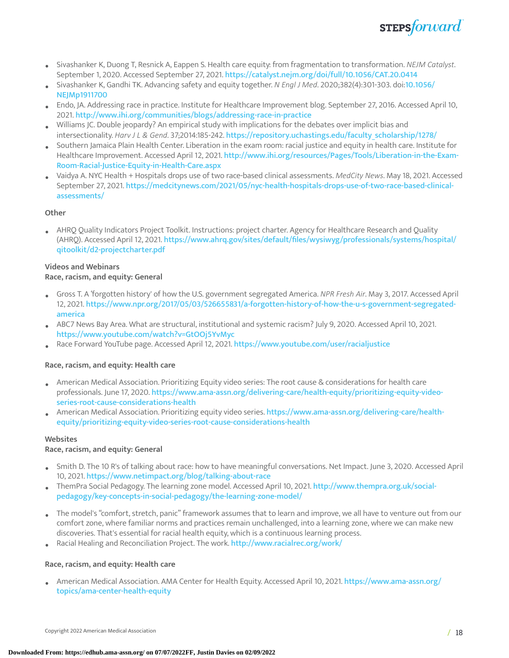

- Sivashanker K, Duong T, Resnick A, Eappen S. Health care equity: from fragmentation to transformation. *NEJM Catalyst*. September 1, 2020. Accessed September 27, 2021. <https://catalyst.nejm.org/doi/full/10.1056/CAT.20.0414>
- Sivashanker K, Gandhi TK. Advancing safety and equity together. *N Engl J Med*. 2020;382(4):301-303. doi:[10.1056/](10.1056/NEJMp1911700) [NEJMp1911700](10.1056/NEJMp1911700)
- Endo, JA. Addressing race in practice. Institute for Healthcare Improvement blog. September 27, 2016. Accessed April 10, 2021. <http://www.ihi.org/communities/blogs/addressing-race-in-practice>
- Williams JC. Double jeopardy? An empirical study with implications for the debates over implicit bias and intersectionality. *Harv J L & Gend*. 37;2014:185-242. [https://repository.uchastings.edu/faculty\\_scholarship/1278/](https://repository.uchastings.edu/faculty_scholarship/1278/)
- Southern Jamaica Plain Health Center. Liberation in the exam room: racial justice and equity in health care. Institute for Healthcare Improvement. Accessed April 12, 2021. [http://www.ihi.org/resources/Pages/Tools/Liberation-in-the-Exam-](http://www.ihi.org/resources/Pages/Tools/Liberation-in-the-Exam-Room-Racial-Justice-Equity-in-Health-Care.aspx)[Room-Racial-Justice-Equity-in-Health-Care.aspx](http://www.ihi.org/resources/Pages/Tools/Liberation-in-the-Exam-Room-Racial-Justice-Equity-in-Health-Care.aspx)
- Vaidya A. NYC Health + Hospitals drops use of two race-based clinical assessments. *MedCity News*. May 18, 2021. Accessed September 27, 2021. [https://medcitynews.com/2021/05/nyc-health-hospitals-drops-use-of-two-race-based-clinical](https://medcitynews.com/2021/05/nyc-health-hospitals-drops-use-of-two-race-based-clinical-assessments/)[assessments/](https://medcitynews.com/2021/05/nyc-health-hospitals-drops-use-of-two-race-based-clinical-assessments/)

#### **Other**

• AHRQ Quality Indicators Project Toolkit. Instructions: project charter. Agency for Healthcare Research and Quality (AHRQ). Accessed April 12, 2021. [https://www.ahrq.gov/sites/default/files/wysiwyg/professionals/systems/hospital/](https://www.ahrq.gov/sites/default/files/wysiwyg/professionals/systems/hospital/qitoolkit/d2-projectcharter.pdf) [qitoolkit/d2-projectcharter.pdf](https://www.ahrq.gov/sites/default/files/wysiwyg/professionals/systems/hospital/qitoolkit/d2-projectcharter.pdf)

#### **Videos and Webinars**

#### **Race, racism, and equity: General**

- Gross T. <sup>A</sup> 'forgotten history' of how the U.S. government segregated America. *NPR Fresh Air*. May 3, 2017. Accessed April 12, 2021. [https://www.npr.org/2017/05/03/526655831/a-forgotten-history-of-how-the-u-s-government-segregated](https://www.npr.org/2017/05/03/526655831/a-forgotten-history-of-how-the-u-s-government-segregated-america)[america](https://www.npr.org/2017/05/03/526655831/a-forgotten-history-of-how-the-u-s-government-segregated-america)
- ABC7 News Bay Area. What are structural, institutional and systemic racism? July 9, 2020. Accessed April 10, 2021. <https://www.youtube.com/watch?v=GtOOj5YvMyc>
- Race Forward YouTube page. Accessed April 12, 2021. <https://www.youtube.com/user/racialjustice>

#### **Race, racism, and equity: Health care**

- American Medical Association. Prioritizing Equity video series: The root cause & considerations for health care professionals. June 17, 2020. [https://www.ama-assn.org/delivering-care/health-equity/prioritizing-equity-video](https://www.ama-assn.org/delivering-care/health-equity/prioritizing-equity-video-series-root-cause-considerations-health)[series-root-cause-considerations-health](https://www.ama-assn.org/delivering-care/health-equity/prioritizing-equity-video-series-root-cause-considerations-health)
- American Medical Association. Prioritizing equity video series. [https://www.ama-assn.org/delivering-care/health](https://www.ama-assn.org/delivering-care/health-equity/prioritizing-equity-video-series-root-cause-considerations-health)[equity/prioritizing-equity-video-series-root-cause-considerations-health](https://www.ama-assn.org/delivering-care/health-equity/prioritizing-equity-video-series-root-cause-considerations-health)

#### **Websites**

#### **Race, racism, and equity: General**

- Smith D. The 10 R's of talking about race: how to have meaningful conversations. Net Impact. June 3, 2020. Accessed April 10, 2021. <https://www.netimpact.org/blog/talking-about-race>
- ThemPra Social Pedagogy. The learning zone model. Accessed April 10, 2021. [http://www.thempra.org.uk/social](http://www.thempra.org.uk/social-pedagogy/key-concepts-in-social-pedagogy/the-learning-zone-model/)[pedagogy/key-concepts-in-social-pedagogy/the-learning-zone-model/](http://www.thempra.org.uk/social-pedagogy/key-concepts-in-social-pedagogy/the-learning-zone-model/)
- The model's "comfort, stretch, panic" framework assumes that to learn and improve, we all have to venture out from our comfort zone, where familiar norms and practices remain unchallenged, into a learning zone, where we can make new discoveries. That's essential for racial health equity, which is a continuous learning process.
- Racial Healing and Reconciliation Project. The work. <http://www.racialrec.org/work/>

#### **Race, racism, and equity: Health care**

• American Medical Association. AMA Center for Health Equity. Accessed April 10, 2021. [https://www.ama-assn.org/](https://www.ama-assn.org/topics/ama-center-health-equity) [topics/ama-center-health-equity](https://www.ama-assn.org/topics/ama-center-health-equity)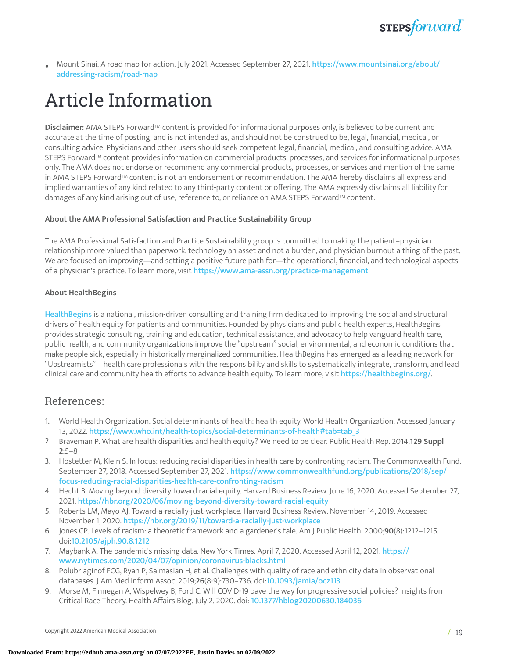

• Mount Sinai. <sup>A</sup> road map for action. July 2021. Accessed September 27, 2021. [https://www.mountsinai.org/about/](https://www.mountsinai.org/about/addressing-racism/road-map) [addressing-racism/road-map](https://www.mountsinai.org/about/addressing-racism/road-map)

# Article Information

**Disclaimer:** AMA STEPS Forward™ content is provided for informational purposes only, is believed to be current and accurate at the time of posting, and is not intended as, and should not be construed to be, legal, financial, medical, or consulting advice. Physicians and other users should seek competent legal, financial, medical, and consulting advice. AMA STEPS Forward™ content provides information on commercial products, processes, and services for informational purposes only. The AMA does not endorse or recommend any commercial products, processes, or services and mention of the same in AMA STEPS Forward™ content is not an endorsement or recommendation. The AMA hereby disclaims all express and implied warranties of any kind related to any third-party content or offering. The AMA expressly disclaims all liability for damages of any kind arising out of use, reference to, or reliance on AMA STEPS Forward™ content.

#### **About the AMA Professional Satisfaction and Practice Sustainability Group**

The AMA Professional Satisfaction and Practice Sustainability group is committed to making the patient–physician relationship more valued than paperwork, technology an asset and not a burden, and physician burnout a thing of the past. We are focused on improving—and setting a positive future path for—the operational, financial, and technological aspects of a physician's practice. To learn more, visit <https://www.ama-assn.org/practice-management>.

#### **About HealthBegins**

[HealthBegins](https://urldefense.com/v3/__https:/healthbegins.org/__;!!AI0rnoUB!ryqcdTnpAVoP_wt8z2hXDxPgusCrtu1YlqfaXMdH65t05gE2hMx0tEJlWi7o1polDPDc87E$) is a national, mission-driven consulting and training firm dedicated to improving the social and structural drivers of health equity for patients and communities. Founded by physicians and public health experts, HealthBegins provides strategic consulting, training and education, technical assistance, and advocacy to help vanguard health care, public health, and community organizations improve the "upstream" social, environmental, and economic conditions that make people sick, especially in historically marginalized communities. HealthBegins has emerged as a leading network for "Upstreamists"—health care professionals with the responsibility and skills to systematically integrate, transform, and lead clinical care and community health efforts to advance health equity. To learn more, visit [https://healthbegins.org/](https://urldefense.com/v3/__https:/healthbegins.org/__;!!AI0rnoUB!ryqcdTnpAVoP_wt8z2hXDxPgusCrtu1YlqfaXMdH65t05gE2hMx0tEJlWi7o1polDPDc87E$).

#### References:

- <span id="page-18-0"></span>1. World Health Organization. Social determinants of health: health equity. World Health Organization. Accessed January 13, 2022. [https://www.who.int/health-topics/social-determinants-of-health#tab=tab\\_3](https://www.who.int/health-topics/social-determinants-of-health#tab=tab_3)
- <span id="page-18-1"></span>2. Braveman P. What are health disparities and health equity? We need to be clear. Public Health Rep. 2014;**129 Suppl 2**:5–8
- <span id="page-18-2"></span>3. Hostetter M, Klein S. In focus: reducing racial disparities in health care by confronting racism. The Commonwealth Fund. September 27, 2018. Accessed September 27, 2021. [https://www.commonwealthfund.org/publications/2018/sep/](https://www.commonwealthfund.org/publications/2018/sep/focus-reducing-racial-disparities-health-care-confronting-racism) [focus-reducing-racial-disparities-health-care-confronting-racism](https://www.commonwealthfund.org/publications/2018/sep/focus-reducing-racial-disparities-health-care-confronting-racism)
- <span id="page-18-3"></span>4. Hecht B. Moving beyond diversity toward racial equity. Harvard Business Review. June 16, 2020. Accessed September 27, 2021. <https://hbr.org/2020/06/moving-beyond-diversity-toward-racial-equity>
- 5. Roberts LM, Mayo AJ. Toward-a-racially-just-workplace. Harvard Business Review. November 14, 2019. Accessed November 1, 2020. <https://hbr.org/2019/11/toward-a-racially-just-workplace>
- <span id="page-18-4"></span>6. Jones CP. Levels of racism: a theoretic framework and a gardener's tale. Am J Public Health. 2000;**90**(8):1212–1215. doi:<10.2105/ajph.90.8.1212>
- <span id="page-18-5"></span>7. Maybank A. The pandemic's missing data. New York Times. April 7, 2020. Accessed April 12, 2021. [https://](https://www.nytimes.com/2020/04/07/opinion/coronavirus-blacks.html) [www.nytimes.com/2020/04/07/opinion/coronavirus-blacks.html](https://www.nytimes.com/2020/04/07/opinion/coronavirus-blacks.html)
- <span id="page-18-6"></span>8. Polubriaginof FCG, Ryan P, Salmasian H, et al. Challenges with quality of race and ethnicity data in observational databases. J Am Med Inform Assoc. 2019;**26**(8-9):730–736. doi:<10.1093/jamia/ocz113>
- <span id="page-18-7"></span>9. Morse M, Finnegan A, Wispelwey B, Ford C. Will COVID-19 pave the way for progressive social policies? Insights from Critical Race Theory. Health Affairs Blog. July 2, 2020. doi: <10.1377/hblog20200630.184036>